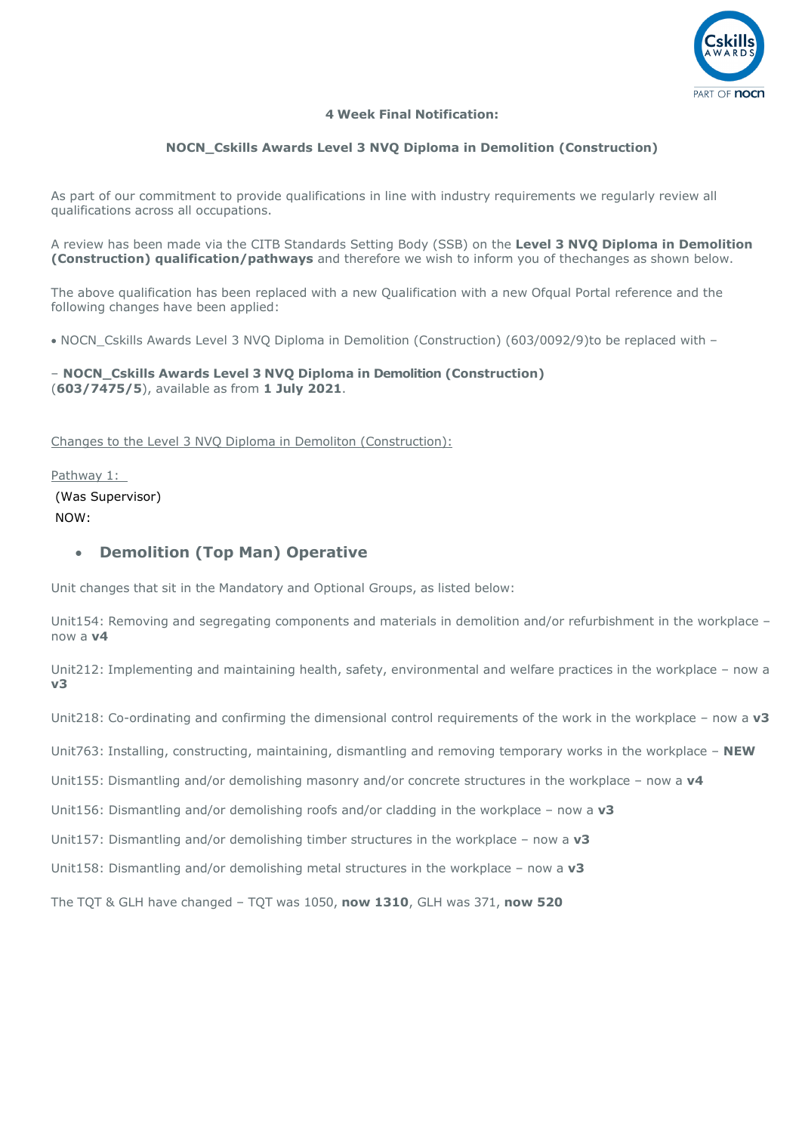

#### **4 Week Final Notification:**

#### **NOCN\_Cskills Awards Level 3 NVQ Diploma in Demolition (Construction)**

As part of our commitment to provide qualifications in line with industry requirements we regularly review all qualifications across all occupations.

A review has been made via the CITB Standards Setting Body (SSB) on the **Level 3 NVQ Diploma in Demolition (Construction) qualification/pathways** and therefore we wish to inform you of thechanges as shown below.

The above qualification has been replaced with a new Qualification with a new Ofqual Portal reference and the following changes have been applied:

• NOCN Cskills Awards Level 3 NVO Diploma in Demolition (Construction) (603/0092/9) to be replaced with –

– **NOCN\_Cskills Awards Level 3 NVQ Diploma in Demolition (Construction)** (**603/7475/5**), available as from **1 July 2021**.

Changes to the Level 3 NVQ Diploma in Demoliton (Construction):

Pathway 1: (Was Supervisor) NOW:

### • **Demolition (Top Man) Operative**

Unit changes that sit in the Mandatory and Optional Groups, as listed below:

Unit154: Removing and segregating components and materials in demolition and/or refurbishment in the workplace – now a **v4**

Unit212: Implementing and maintaining health, safety, environmental and welfare practices in the workplace – now a **v3**

Unit218: Co-ordinating and confirming the dimensional control requirements of the work in the workplace – now a **v3**

Unit763: Installing, constructing, maintaining, dismantling and removing temporary works in the workplace – **NEW**

Unit155: Dismantling and/or demolishing masonry and/or concrete structures in the workplace – now a **v4**

Unit156: Dismantling and/or demolishing roofs and/or cladding in the workplace – now a **v3** 

Unit157: Dismantling and/or demolishing timber structures in the workplace – now a **v3**

Unit158: Dismantling and/or demolishing metal structures in the workplace – now a **v3**

The TQT & GLH have changed – TQT was 1050, **now 1310**, GLH was 371, **now 520**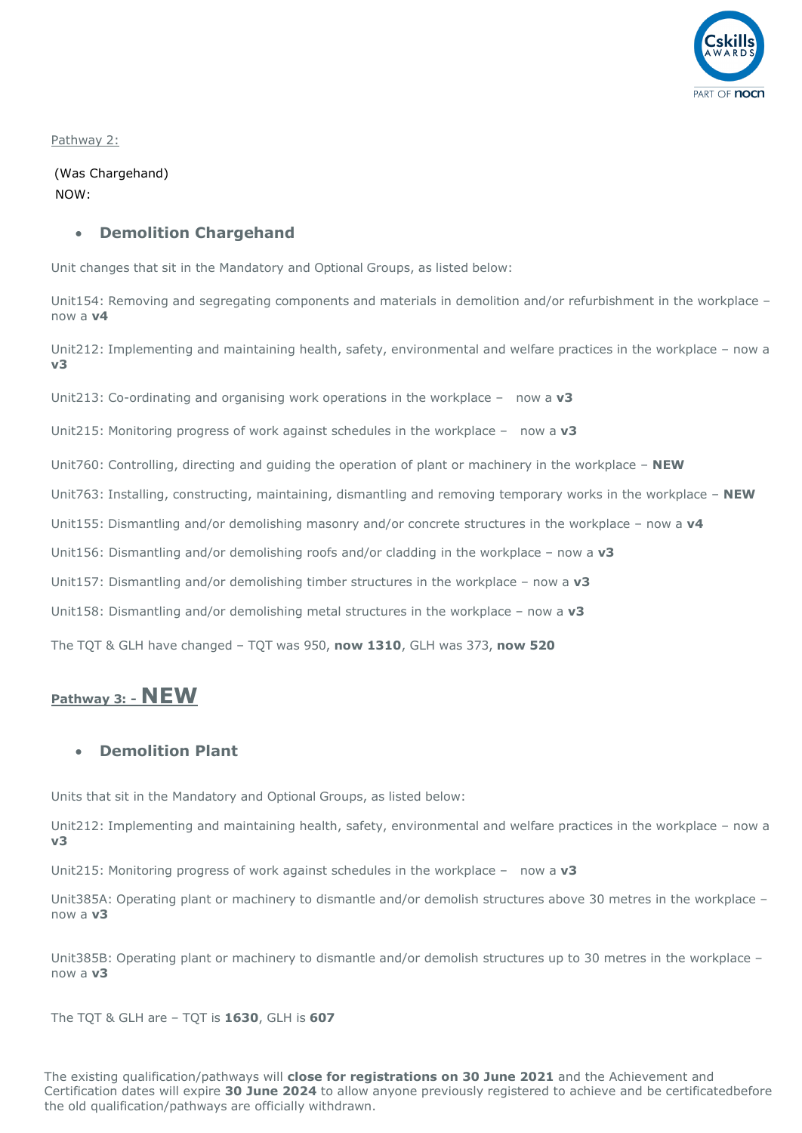

Pathway 2:

(Was Chargehand) NOW:

#### • **Demolition Chargehand**

Unit changes that sit in the Mandatory and Optional Groups, as listed below:

Unit154: Removing and segregating components and materials in demolition and/or refurbishment in the workplace – now a **v4**

Unit212: Implementing and maintaining health, safety, environmental and welfare practices in the workplace – now a **v3**

Unit213: Co-ordinating and organising work operations in the workplace – now a **v3**

Unit215: Monitoring progress of work against schedules in the workplace – now a **v3**

Unit760: Controlling, directing and guiding the operation of plant or machinery in the workplace – **NEW**

Unit763: Installing, constructing, maintaining, dismantling and removing temporary works in the workplace – **NEW**

Unit155: Dismantling and/or demolishing masonry and/or concrete structures in the workplace – now a **v4**

Unit156: Dismantling and/or demolishing roofs and/or cladding in the workplace – now a **v3**

Unit157: Dismantling and/or demolishing timber structures in the workplace – now a **v3**

Unit158: Dismantling and/or demolishing metal structures in the workplace – now a **v3**

The TQT & GLH have changed – TQT was 950, **now 1310**, GLH was 373, **now 520**

# **Pathway 3: - NEW**

## • **Demolition Plant**

Units that sit in the Mandatory and Optional Groups, as listed below:

Unit212: Implementing and maintaining health, safety, environmental and welfare practices in the workplace – now a **v3**

Unit215: Monitoring progress of work against schedules in the workplace – now a **v3**

Unit385A: Operating plant or machinery to dismantle and/or demolish structures above 30 metres in the workplace – now a **v3**

Unit385B: Operating plant or machinery to dismantle and/or demolish structures up to 30 metres in the workplace – now a **v3**

The TQT & GLH are – TQT is **1630**, GLH is **607**

The existing qualification/pathways will **close for registrations on 30 June 2021** and the Achievement and Certification dates will expire **30 June 2024** to allow anyone previously registered to achieve and be certificatedbefore the old qualification/pathways are officially withdrawn.